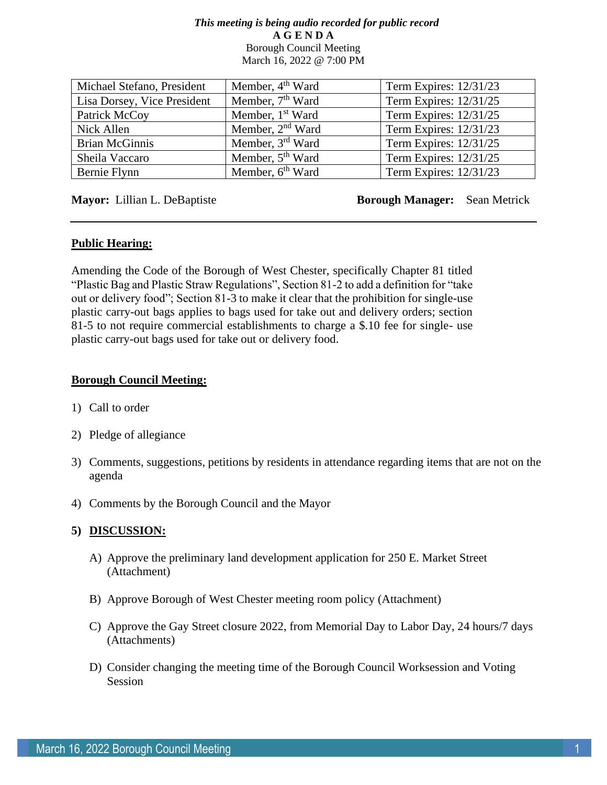#### *This meeting is being audio recorded for public record* **A G E N D A**  Borough Council Meeting March 16, 2022 @ 7:00 PM

| Michael Stefano, President  | Member, $4th$ Ward           | Term Expires: 12/31/23 |
|-----------------------------|------------------------------|------------------------|
| Lisa Dorsey, Vice President | Member, 7 <sup>th</sup> Ward | Term Expires: 12/31/25 |
| Patrick McCoy               | Member, 1 <sup>st</sup> Ward | Term Expires: 12/31/25 |
| Nick Allen                  | Member, 2 <sup>nd</sup> Ward | Term Expires: 12/31/23 |
| <b>Brian McGinnis</b>       | Member, 3rd Ward             | Term Expires: 12/31/25 |
| Sheila Vaccaro              | Member, 5 <sup>th</sup> Ward | Term Expires: 12/31/25 |
| Bernie Flynn                | Member, $6th$ Ward           | Term Expires: 12/31/23 |

**Mayor:** Lillian L. DeBaptiste **Borough Manager:** Sean Metrick

# **Public Hearing:**

Amending the Code of the Borough of West Chester, specifically Chapter 81 titled "Plastic Bag and Plastic Straw Regulations", Section 81-2 to add a definition for "take out or delivery food"; Section 81-3 to make it clear that the prohibition for single-use plastic carry-out bags applies to bags used for take out and delivery orders; section 81-5 to not require commercial establishments to charge a \$.10 fee for single- use plastic carry-out bags used for take out or delivery food.

# **Borough Council Meeting:**

- 1) Call to order
- 2) Pledge of allegiance
- 3) Comments, suggestions, petitions by residents in attendance regarding items that are not on the agenda
- 4) Comments by the Borough Council and the Mayor

# **5) DISCUSSION:**

- A) Approve the preliminary land development application for 250 E. Market Street (Attachment)
- B) Approve Borough of West Chester meeting room policy (Attachment)
- C) Approve the Gay Street closure 2022, from Memorial Day to Labor Day, 24 hours/7 days (Attachments)
- D) Consider changing the meeting time of the Borough Council Worksession and Voting Session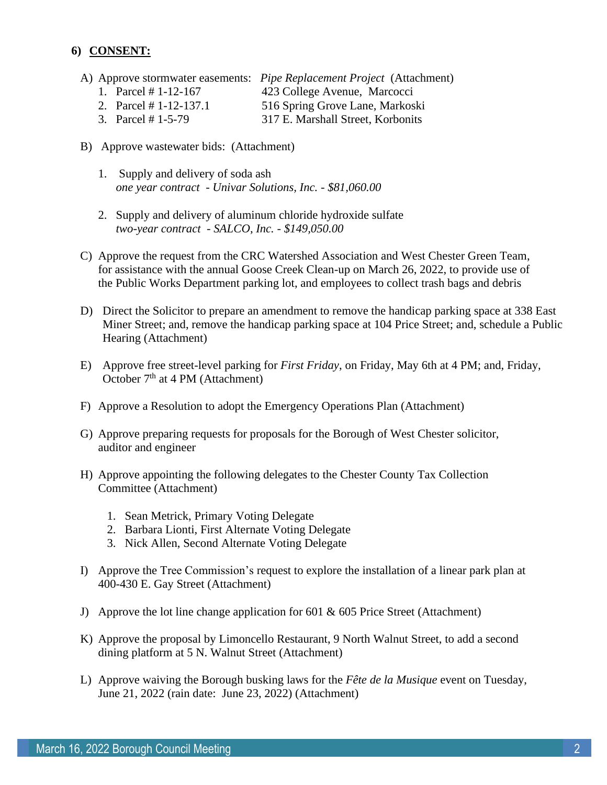# **6) CONSENT:**

- A) Approve stormwater easements: *Pipe Replacement Project* (Attachment)
	- 1. Parcel # 1-12-167 423 College Avenue, Marcocci
	- 2. Parcel # 1-12-137.1 516 Spring Grove Lane, Markoski
	- 3. Parcel # 1-5-79 317 E. Marshall Street, Korbonits
- B) Approve wastewater bids: (Attachment)
	- 1. Supply and delivery of soda ash *one year contract - Univar Solutions, Inc. - \$81,060.00*
	- 2. Supply and delivery of aluminum chloride hydroxide sulfate *two-year contract - SALCO, Inc. - \$149,050.00*
- C) Approve the request from the CRC Watershed Association and West Chester Green Team, for assistance with the annual Goose Creek Clean-up on March 26, 2022, to provide use of the Public Works Department parking lot, and employees to collect trash bags and debris
- D) Direct the Solicitor to prepare an amendment to remove the handicap parking space at 338 East Miner Street; and, remove the handicap parking space at 104 Price Street; and, schedule a Public Hearing (Attachment)
- E) Approve free street-level parking for *First Friday*, on Friday, May 6th at 4 PM; and, Friday, October 7<sup>th</sup> at 4 PM (Attachment)
- F) Approve a Resolution to adopt the Emergency Operations Plan (Attachment)
- G) Approve preparing requests for proposals for the Borough of West Chester solicitor, auditor and engineer
- H) Approve appointing the following delegates to the Chester County Tax Collection Committee (Attachment)
	- 1. Sean Metrick, Primary Voting Delegate
	- 2. Barbara Lionti, First Alternate Voting Delegate
	- 3. Nick Allen, Second Alternate Voting Delegate
- I) Approve the Tree Commission's request to explore the installation of a linear park plan at 400-430 E. Gay Street (Attachment)
- J) Approve the lot line change application for 601 & 605 Price Street (Attachment)
- K) Approve the proposal by Limoncello Restaurant, 9 North Walnut Street, to add a second dining platform at 5 N. Walnut Street (Attachment)
- L) Approve waiving the Borough busking laws for the *Fête de la Musique* event on Tuesday, June 21, 2022 (rain date: June 23, 2022) (Attachment)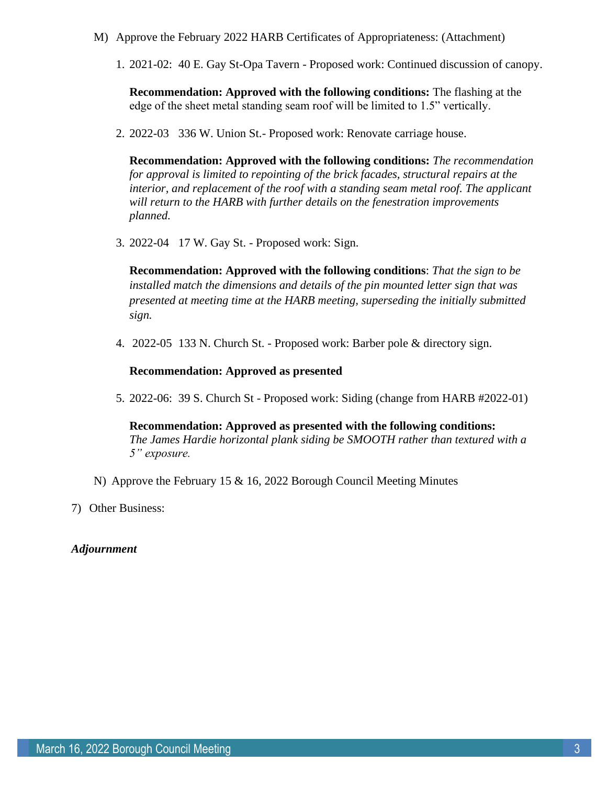- M) Approve the February 2022 HARB Certificates of Appropriateness: (Attachment)
	- 1. 2021-02: 40 E. Gay St-Opa Tavern Proposed work: Continued discussion of canopy.

**Recommendation: Approved with the following conditions:** The flashing at the edge of the sheet metal standing seam roof will be limited to 1.5" vertically.

2. 2022-03 336 W. Union St.- Proposed work: Renovate carriage house.

**Recommendation: Approved with the following conditions:** *The recommendation for approval is limited to repointing of the brick facades, structural repairs at the interior, and replacement of the roof with a standing seam metal roof. The applicant will return to the HARB with further details on the fenestration improvements planned.* 

3. 2022-04 17 W. Gay St. - Proposed work: Sign.

**Recommendation: Approved with the following conditions**: *That the sign to be installed match the dimensions and details of the pin mounted letter sign that was presented at meeting time at the HARB meeting, superseding the initially submitted sign.*

4. 2022-05 133 N. Church St. - Proposed work: Barber pole & directory sign.

#### **Recommendation: Approved as presented**

5. 2022-06: 39 S. Church St - Proposed work: Siding (change from HARB #2022-01)

**Recommendation: Approved as presented with the following conditions:** *The James Hardie horizontal plank siding be SMOOTH rather than textured with a 5" exposure.* 

- N) Approve the February 15 & 16, 2022 Borough Council Meeting Minutes
- 7) Other Business:

# *Adjournment*